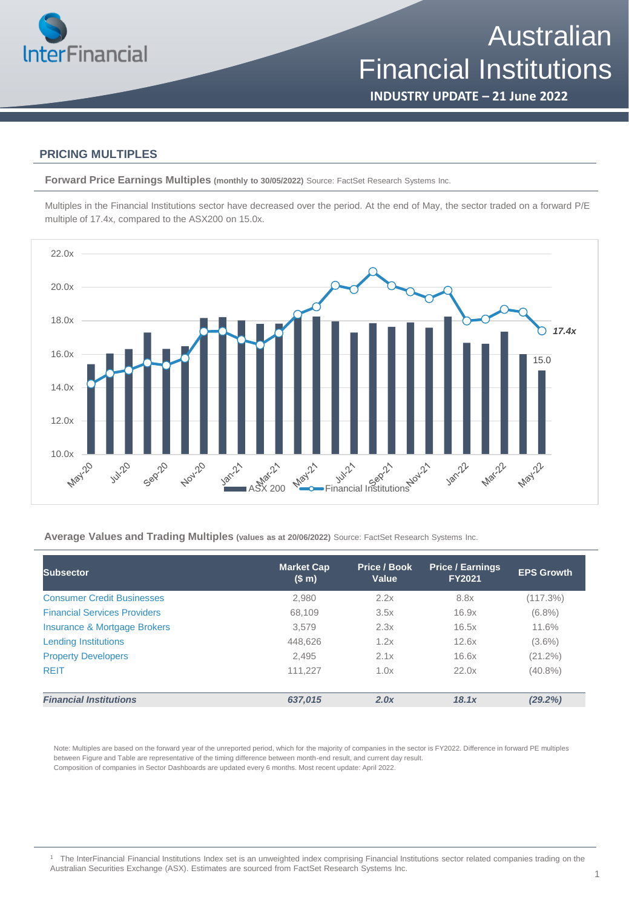

**INDUSTRY UPDATE – 21 June 2022**

#### **PRICING MULTIPLES**

**Forward Price Earnings Multiples (monthly to 30/05/2022)** Source: FactSet Research Systems Inc.

Multiples in the Financial Institutions sector have decreased over the period. At the end of May, the sector traded on a forward P/E multiple of 17.4x, compared to the ASX200 on 15.0x.



**Average Values and Trading Multiples (values as at 20/06/2022)** Source: FactSet Research Systems Inc.

| Subsector                           | <b>Market Cap</b><br>(S <sub>m</sub> ) | Price / Book<br>Value | <b>Price / Earnings</b><br><b>FY2021</b> | <b>EPS Growth</b> |
|-------------------------------------|----------------------------------------|-----------------------|------------------------------------------|-------------------|
| <b>Consumer Credit Businesses</b>   | 2,980                                  | 2.2x                  | 8.8x                                     | (117.3%)          |
| <b>Financial Services Providers</b> | 68,109                                 | 3.5x                  | 16.9x                                    | $(6.8\%)$         |
| Insurance & Mortgage Brokers        | 3,579                                  | 2.3x                  | 16.5x                                    | 11.6%             |
| <b>Lending Institutions</b>         | 448,626                                | 1.2x                  | 12.6x                                    | $(3.6\%)$         |
| <b>Property Developers</b>          | 2,495                                  | 2.1x                  | 16.6x                                    | $(21.2\%)$        |
| <b>REIT</b>                         | 111.227                                | 1.0x                  | 22.0x                                    | $(40.8\%)$        |
| <b>Financial Institutions</b>       | 637,015                                | 2.0x                  | 18.1x                                    | (29.2%)           |

Note: Multiples are based on the forward year of the unreported period, which for the majority of companies in the sector is FY2022. Difference in forward PE multiples between Figure and Table are representative of the timing difference between month-end result, and current day result. Composition of companies in Sector Dashboards are updated every 6 months. Most recent update: April 2022.

<sup>1</sup> The InterFinancial Financial Institutions Index set is an unweighted index comprising Financial Institutions sector related companies trading on the Australian Securities Exchange (ASX). Estimates are sourced from FactSet Research Systems Inc.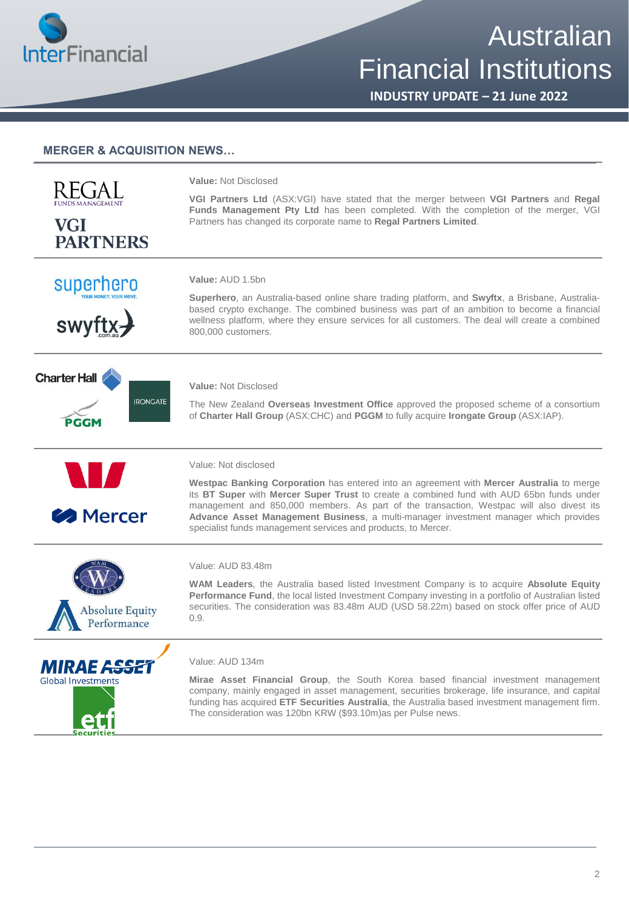

# **Australian** Financial Institutions

**INDUSTRY UPDATE – 21 June 2022**

|                                       | Value: Not Disclosed                                                                                                                                                                                                                                                                                                                                                                                                                      |  |  |  |
|---------------------------------------|-------------------------------------------------------------------------------------------------------------------------------------------------------------------------------------------------------------------------------------------------------------------------------------------------------------------------------------------------------------------------------------------------------------------------------------------|--|--|--|
| <b>VGI</b><br><b>PARTNERS</b>         | VGI Partners Ltd (ASX:VGI) have stated that the merger between VGI Partners and Regal<br>Funds Management Pty Ltd has been completed. With the completion of the merger, VGI<br>Partners has changed its corporate name to Regal Partners Limited.                                                                                                                                                                                        |  |  |  |
| superhero                             | Value: AUD 1.5bn                                                                                                                                                                                                                                                                                                                                                                                                                          |  |  |  |
| <b>swyft</b>                          | Superhero, an Australia-based online share trading platform, and Swyftx, a Brisbane, Australia-<br>based crypto exchange. The combined business was part of an ambition to become a financial<br>wellness platform, where they ensure services for all customers. The deal will create a combined<br>800,000 customers.                                                                                                                   |  |  |  |
| <b>Charter Hall</b>                   | Value: Not Disclosed                                                                                                                                                                                                                                                                                                                                                                                                                      |  |  |  |
| <b>IRONGATE</b><br>PGGM               | The New Zealand Overseas Investment Office approved the proposed scheme of a consortium<br>of Charter Hall Group (ASX:CHC) and PGGM to fully acquire Irongate Group (ASX:IAP).                                                                                                                                                                                                                                                            |  |  |  |
|                                       | Value: Not disclosed                                                                                                                                                                                                                                                                                                                                                                                                                      |  |  |  |
| W<br><b>B</b> Mercer                  | Westpac Banking Corporation has entered into an agreement with Mercer Australia to merge<br>its BT Super with Mercer Super Trust to create a combined fund with AUD 65bn funds under<br>management and 850,000 members. As part of the transaction, Westpac will also divest its<br>Advance Asset Management Business, a multi-manager investment manager which provides<br>specialist funds management services and products, to Mercer. |  |  |  |
|                                       | Value: AUD 83.48m                                                                                                                                                                                                                                                                                                                                                                                                                         |  |  |  |
| <b>Absolute Equity</b><br>Performance | WAM Leaders, the Australia based listed Investment Company is to acquire Absolute Equity<br>Performance Fund, the local listed Investment Company investing in a portfolio of Australian listed<br>securities. The consideration was 83.48m AUD (USD 58.22m) based on stock offer price of AUD<br>0.9.                                                                                                                                    |  |  |  |
| <i><b>MIRAE ASSE</b></i>              | Value: AUD 134m                                                                                                                                                                                                                                                                                                                                                                                                                           |  |  |  |
| <b>Global Investments</b>             | Mirae Asset Financial Group, the South Korea based financial investment management<br>company, mainly engaged in asset management, securities brokerage, life insurance, and capital<br>funding has acquired ETF Securities Australia, the Australia based investment management firm.<br>The consideration was 120bn KRW (\$93.10m)as per Pulse news.                                                                                    |  |  |  |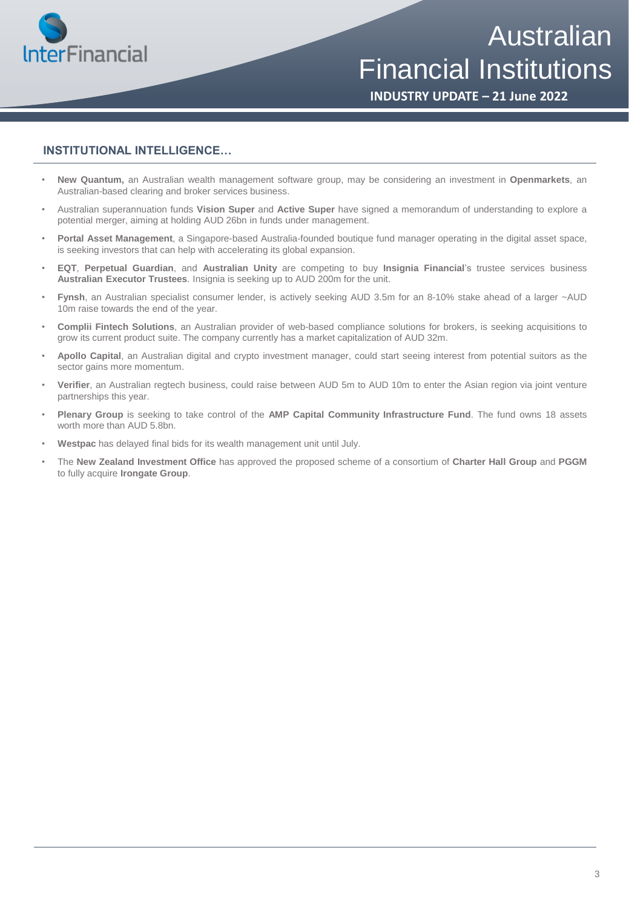

Australian Financial Institutions

**INDUSTRY UPDATE – 21 June 2022**

#### **INSTITUTIONAL INTELLIGENCE…**

- **New Quantum,** an Australian wealth management software group, may be considering an investment in **Openmarkets**, an Australian-based clearing and broker services business.
- Australian superannuation funds **Vision Super** and **Active Super** have signed a memorandum of understanding to explore a potential merger, aiming at holding AUD 26bn in funds under management.
- **Portal Asset Management**, a Singapore-based Australia-founded boutique fund manager operating in the digital asset space, is seeking investors that can help with accelerating its global expansion.
- **EQT**, **Perpetual Guardian**, and **Australian Unity** are competing to buy **Insignia Financial**'s trustee services business **Australian Executor Trustees**. Insignia is seeking up to AUD 200m for the unit.
- **Fynsh**, an Australian specialist consumer lender, is actively seeking AUD 3.5m for an 8-10% stake ahead of a larger ~AUD 10m raise towards the end of the year.
- **Complii Fintech Solutions**, an Australian provider of web-based compliance solutions for brokers, is seeking acquisitions to grow its current product suite. The company currently has a market capitalization of AUD 32m.
- **Apollo Capital**, an Australian digital and crypto investment manager, could start seeing interest from potential suitors as the sector gains more momentum.
- **Verifier**, an Australian regtech business, could raise between AUD 5m to AUD 10m to enter the Asian region via joint venture partnerships this year.
- **Plenary Group** is seeking to take control of the **AMP Capital Community Infrastructure Fund**. The fund owns 18 assets worth more than AUD 5.8bn.
- **Westpac** has delayed final bids for its wealth management unit until July.
- The **New Zealand Investment Office** has approved the proposed scheme of a consortium of **Charter Hall Group** and **PGGM** to fully acquire **Irongate Group**.